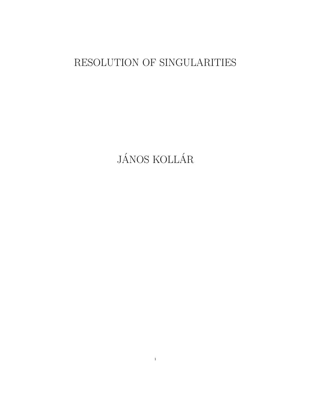# RESOLUTION OF SINGULARITIES

JÁNOS KOLLÁR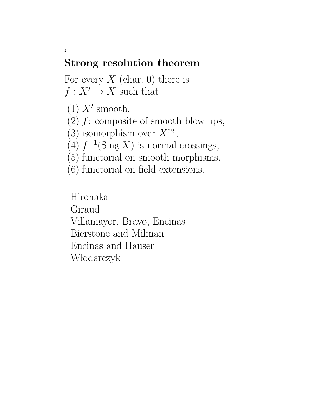## Strong resolution theorem

For every  $X$  (char. 0) there is  $f: X' \to X$  such that

 $(1)$  X' smooth,

2

- (2)  $f$ : composite of smooth blow ups,
- (3) isomorphism over  $X^{ns}$ ,
- (4)  $f^{-1}(\text{Sing } X)$  is normal crossings,
- (5) functorial on smooth morphisms,
- (6) functorial on field extensions.

Hironaka Giraud Villamayor, Bravo, Encinas Bierstone and Milman Encinas and Hauser Włodarczyk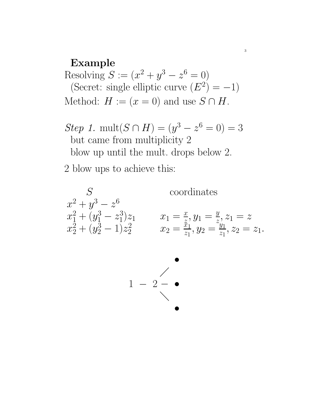#### Example

Resolving  $S := (x^2 + y^3 - z^6 = 0)$ (Secret: single elliptic curve  $(E^2) = -1$ ) Method:  $H := (x = 0)$  and use  $S \cap H$ .

Step 1. mult( $S \cap H$ ) =  $(y^3 - z^6 = 0) = 3$ but came from multiplicity 2 blow up until the mult. drops below 2.

2 blow ups to achieve this:



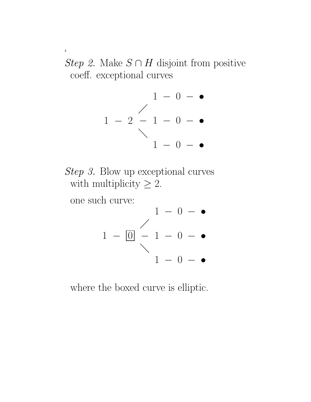*Step 2.* Make  $S \cap H$  disjoint from positive coeff. exceptional curves





one such curve:

4



where the boxed curve is elliptic.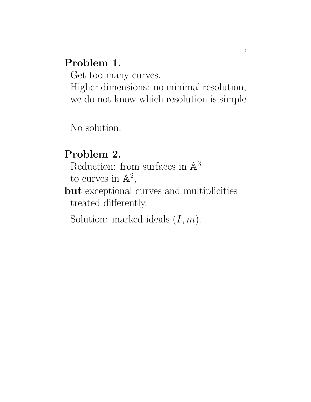## Problem 1.

Get too many curves.

Higher dimensions: no minimal resolution, we do not know which resolution is simple

5

No solution.

# Problem 2.

Reduction: from surfaces in  $\mathbb{A}^3$ to curves in  $\mathbb{A}^2$ ,

but exceptional curves and multiplicities treated differently.

Solution: marked ideals  $(I, m)$ .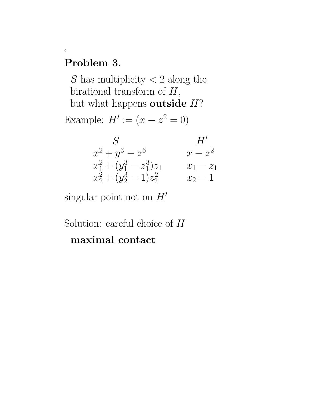### Problem 3.

6

S has multiplicity  $\lt 2$  along the birational transform of  $H$ , but what happens outside  $H$ ? Example:  $H' := (x - z^2 = 0)$ 

| S                            | H'          |
|------------------------------|-------------|
| $x^2 + y^3 - z^6$            | $x-z^2$     |
| $x_1^2 + (y_1^3 - z_1^3)z_1$ | $x_1 - z_1$ |
| $x_2^2 + (y_2^3 - 1)z_2^2$   | $x_2-1$     |

singular point not on  $H'$ 

Solution: careful choice of  $H$ maximal contact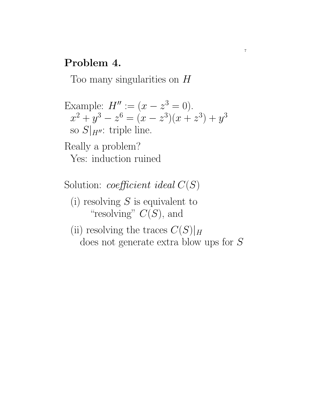#### Problem 4.

Too many singularities on H

Example:  $H'' := (x - z^3 = 0).$  $x^2 + y^3 - z^6 = (x - z^3)(x + z^3) + y^3$ so  $S|_{H''}$ : triple line. Really a problem?

7

Yes: induction ruined

Solution: *coefficient ideal*  $C(S)$ 

(i) resolving  $S$  is equivalent to "resolving"  $C(S)$ , and

(ii) resolving the traces  $C(S)|_H$ does not generate extra blow ups for S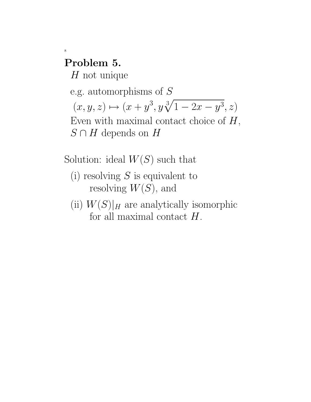#### Problem 5.

8

 $H$  not unique

e.g. automorphisms of S  $(x, y, z) \mapsto (x + y^3, y\sqrt[3]{1 - 2x - y^3}, z)$ Even with maximal contact choice of  $H$ ,  $S \cap H$  depends on H

Solution: ideal  $W(S)$  such that

- (i) resolving  $S$  is equivalent to resolving  $W(S)$ , and
- (ii)  $W(S)|_H$  are analytically isomorphic for all maximal contact  $H$ .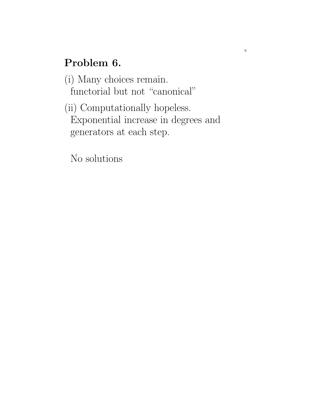# Problem 6.

(i) Many choices remain. functorial but not "canonical"

(ii) Computationally hopeless. Exponential increase in degrees and generators at each step.

No solutions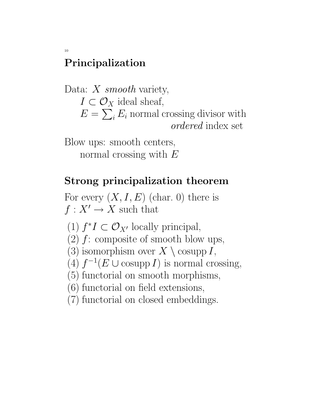# Principalization

10

Data:  $X$  smooth variety,  $I \subset \mathcal{O}_X$  ideal sheaf,  $E = \sum_i E_i$  normal crossing divisor with ordered index set

Blow ups: smooth centers, normal crossing with  $E$ 

# Strong principalization theorem

For every  $(X, I, E)$  (char. 0) there is  $f: X' \to X$  such that

(1)  $f^*I \subset \mathcal{O}_{X'}$  locally principal,

(2)  $f$ : composite of smooth blow ups,

(3) isomorphism over  $X \setminus \text{cosupp } I$ ,

(4)  $f^{-1}(E \cup \text{cosupp } I)$  is normal crossing,

(5) functorial on smooth morphisms,

(6) functorial on field extensions,

(7) functorial on closed embeddings.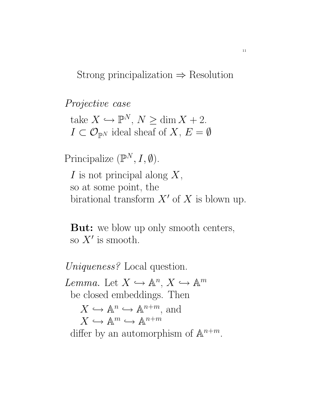Strong principalization  $\Rightarrow$  Resolution

Projective case take  $X \hookrightarrow \mathbb{P}^N$ ,  $N \geq \dim X + 2$ .  $I \subset \mathcal{O}_{\mathbb{P}^N}$  ideal sheaf of  $X, E = \emptyset$ 

Principalize  $(\mathbb{P}^N, I, \emptyset)$ .

 $I$  is not principal along  $X$ , so at some point, the birational transform  $X'$  of X is blown up.

**But:** we blow up only smooth centers, so  $X'$  is smooth.

Uniqueness? Local question.

Lemma. Let  $X \hookrightarrow \mathbb{A}^n$ ,  $X \hookrightarrow \mathbb{A}^m$ be closed embeddings. Then  $X \hookrightarrow \mathbb{A}^n \hookrightarrow \mathbb{A}^{n+m}$ , and  $X \hookrightarrow \mathbb{A}^m \hookrightarrow \mathbb{A}^{n+m}$ differ by an automorphism of  $\mathbb{A}^{n+m}$ .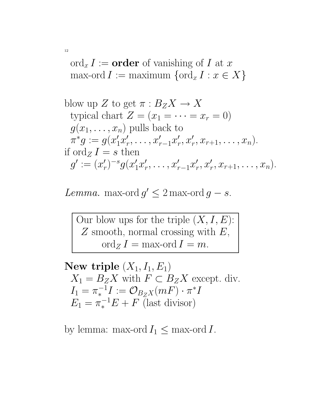$\operatorname{ord}_x I := \textbf{order}$  of vanishing of I at x max-ord  $I := \text{maximum } \{\text{ord}_x I : x \in X\}$ 

blow up Z to get 
$$
\pi : B_Z X \to X
$$
  
typical chart  $Z = (x_1 = \cdots = x_r = 0)$   
 $g(x_1, \ldots, x_n)$  pulls back to  
 $\pi^* g := g(x'_1 x'_r, \ldots, x'_{r-1} x'_r, x'_r, x_{r+1}, \ldots, x_n).$   
if ord<sub>Z</sub>  $I = s$  then  
 $g' := (x'_r)^{-s} g(x'_1 x'_r, \ldots, x'_{r-1} x'_r, x'_r, x_{r+1}, \ldots, x_n).$ 

Lemma. max-ord  $g' \leq 2$  max-ord  $g - s$ .

Our blow ups for the triple  $(X, I, E)$ :  $Z$  smooth, normal crossing with  $E$ ,  $\operatorname{ord}_Z I = \max$ -ord  $I = m$ .

New triple  $(X_1, I_1, E_1)$  $X_1 = B_Z X$  with  $F \subset B_Z X$  except. div.  $I_1 = \pi_*^{-1}$  $\mathcal{O}_{B_ZX}(mF)\cdot \pi^*I$  $E_1 = \pi_*^{-1}E + F$  (last divisor)

by lemma: max-ord  $I_1 \leq$  max-ord I.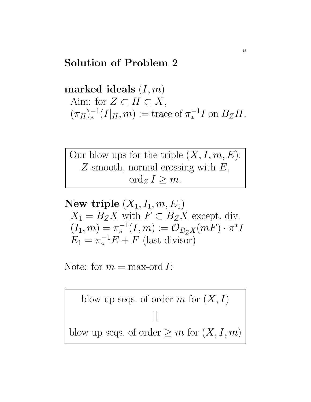#### Solution of Problem 2

marked ideals  $(I, m)$ Aim: for  $Z \subset H \subset X$ ,  $(\pi_H)_*^{-1}$  $\pi_*^{-1}(I|_H,m) := \text{trace of } \pi_*^{-1}$  $\int_{\ast}^{-1} I$  on  $B_Z H$ .

Our blow ups for the triple  $(X, I, m, E)$ :  $Z$  smooth, normal crossing with  $E$ , ord<sub>Z</sub>  $I \geq m$ .

New triple  $(X_1, I_1, m, E_1)$  $X_1 = B_Z X$  with  $F \subset B_Z X$  except. div.  $(I_1, m) = \pi_*^{-1}$  $\zeta_*^{-1}(I,m) := \mathcal{O}_{B_Z X}(mF) \cdot \pi^* I$  $E_1 = \pi_*^{-1}E + F$  (last divisor)

Note: for  $m = \max$ -ord I:

blow up segs. of order 
$$
m
$$
 for  $(X, I)$ 

\n||

\nblow up segs. of order  $\geq m$  for  $(X, I, m)$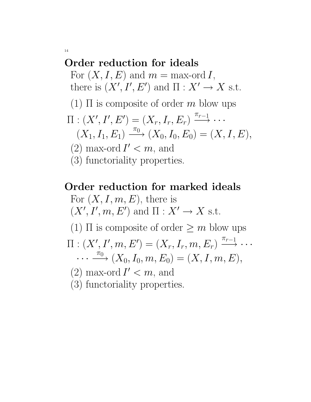#### Order reduction for ideals

For  $(X, I, E)$  and  $m = \max$ -ord I, there is  $(X', I', E')$  and  $\Pi : X' \to X$  s.t.

(1)  $\Pi$  is composite of order m blow ups

$$
\Pi : (X', I', E') = (X_r, I_r, E_r) \xrightarrow{\pi_{r-1}} \cdots
$$
  

$$
(X_1, I_1, E_1) \xrightarrow{\pi_0} (X_0, I_0, E_0) = (X, I, E),
$$

- (2) max-ord  $I' < m$ , and
- (3) functoriality properties.

# Order reduction for marked ideals For  $(X, I, m, E)$ , there is  $(X', I', m, E')$  and  $\Pi : X' \to X$  s.t. (1)  $\Pi$  is composite of order  $\geq m$  blow ups  $\Pi: (X', I', m, E') = (X_r, I_r, m, E_r) \stackrel{\pi_{r-1}}{\longrightarrow} \cdots$  $\cdots \stackrel{\pi_0}{\longrightarrow} (X_0, I_0, m, E_0) = (X, I, m, E),$ (2) max-ord  $I' < m$ , and (3) functoriality properties.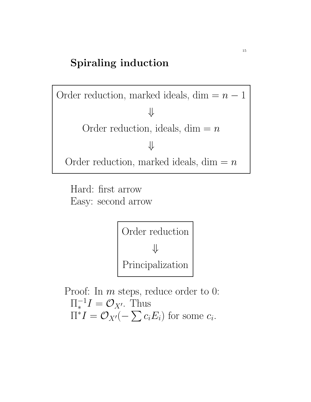#### Spiraling induction

Order reduction, marked ideals, dim =  $n - 1$ ⇓ Order reduction, ideals, dim  $=n$ ⇓ Order reduction, marked ideals,  $dim = n$ 

Hard: first arrow Easy: second arrow

> Order reduction ⇓ Principalization

Proof: In *m* steps, reduce order to 0:  $\Pi_*^{-1}$  $\zeta_*^{-1}I = \mathcal{O}_{X'}$ . Thus  $\Pi^*I = \mathcal{O}_{X'}(-\sum c_i E_i)$  for some  $c_i$ .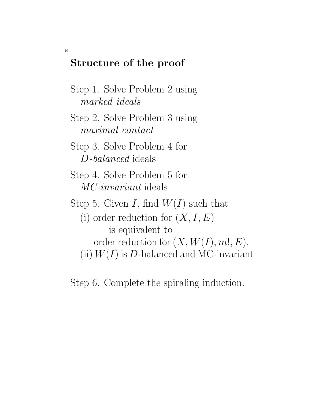#### Structure of the proof

- Step 1. Solve Problem 2 using marked ideals
- Step 2. Solve Problem 3 using maximal contact
- Step 3. Solve Problem 4 for D-balanced ideals
- Step 4. Solve Problem 5 for MC-invariant ideals
- Step 5. Given I, find  $W(I)$  such that
	- (i) order reduction for  $(X, I, E)$ is equivalent to order reduction for  $(X, W(I), m!, E)$ , (ii)  $W(I)$  is D-balanced and MC-invariant
- Step 6. Complete the spiraling induction.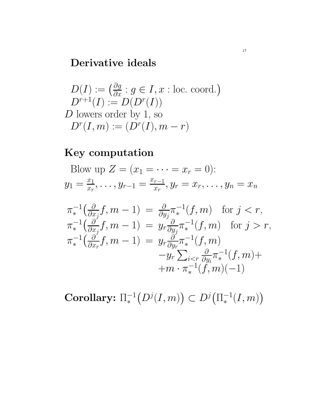#### Derivative ideals

$$
D(I) := \left(\frac{\partial g}{\partial x} : g \in I, x : \text{loc. coord.}\right)
$$
  

$$
D^{r+1}(I) := D(D^r(I))
$$
  
D lowers order by 1, so  

$$
D^r(I, m) := (D^r(I), m - r)
$$

#### Key computation

Blow up  $Z = (x_1 = \cdots = x_r = 0)$ :  $y_1 = \frac{x_1}{x_r}$  $\frac{x_1}{x_r}, \ldots, y_{r-1} = \frac{x_{r-1}}{x_r}$  $\frac{r-1}{x_r}, y_r = x_r, \ldots, y_n = x_n$ 

$$
\pi_*^{-1}\left(\frac{\partial}{\partial x_j}f, m-1\right) = \frac{\partial}{\partial y_j}\pi_*^{-1}(f, m) \text{ for } j < r,
$$
  
\n
$$
\pi_*^{-1}\left(\frac{\partial}{\partial x_j}f, m-1\right) = y_r\frac{\partial}{\partial y_j}\pi_*^{-1}(f, m) \text{ for } j > r,
$$
  
\n
$$
\pi_*^{-1}\left(\frac{\partial}{\partial x_r}f, m-1\right) = y_r\frac{\partial}{\partial y_r}\pi_*^{-1}(f, m)
$$
  
\n
$$
-y_r\sum_{i < r}\frac{\partial}{\partial y_i}\pi_*^{-1}(f, m) +
$$
  
\n
$$
+m \cdot \pi_*^{-1}(f, m)(-1)
$$

Corollary:  $\Pi_*^{-1}$  $\Gamma_*^{-1}\big(D^j(I,m)\big)\subset D^j\big(\Pi_*^{-1}\big)$  $^{-1}_{*}(I,m)$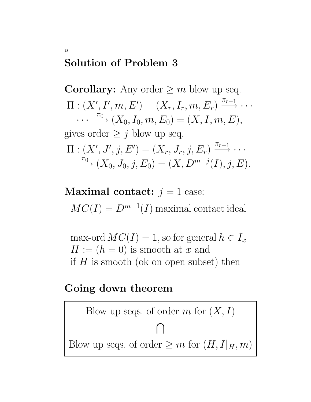#### Solution of Problem 3

18

**Corollary:** Any order  $\geq m$  blow up seq.  $\Pi: (X', I', m, E') = (X_r, I_r, m, E_r) \stackrel{\pi_{r-1}}{\longrightarrow} \cdots$  $\cdots \stackrel{\pi_0}{\longrightarrow} (X_0, I_0, m, E_0) = (X, I, m, E),$ gives order  $\geq j$  blow up seq.  $\Pi: (X',J',j,E')=(X_r,J_r,j,E_r) \stackrel{\pi_{r-1}}{\longrightarrow} \cdots$  $\overline{\longrightarrow}^{\pi_0} (X_0, J_0, j, E_0) = (X, D^{m-j}(I), j, E).$ 

**Maximal contact:**  $j = 1$  case:  $MC(I) = D^{m-1}(I)$  maximal contact ideal

max-ord  $MC(I) = 1$ , so for general  $h \in I_x$  $H := (h = 0)$  is smooth at x and if  $H$  is smooth (ok on open subset) then

#### Going down theorem

Blow up segs. of order 
$$
m
$$
 for  $(X, I)$ 

\n $\bigcap$ 

\nBlow up segs. of order  $\geq m$  for  $(H, I|_H, m)$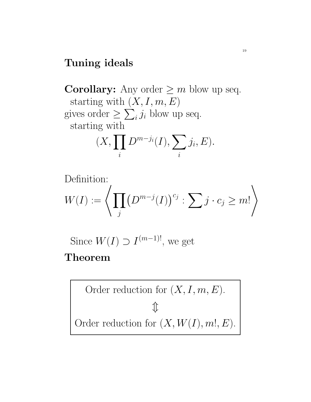#### Tuning ideals

**Corollary:** Any order  $\geq m$  blow up seq. starting with  $(X, I, m, E)$ gives order  $\geq \sum_i j_i$  blow up seq. starting with  $(X, \prod$ i  $D^{m-j_i}(I), \sum$ i  $j_i, E).$ 

Definition:  
\n
$$
W(I) := \left\langle \prod_j \left( D^{m-j}(I) \right)^{c_j} : \sum_j j \cdot c_j \geq m! \right\rangle
$$

Since  $W(I) \supset I^{(m-1)!}$ , we get

## Theorem

Order reduction for 
$$
(X, I, m, E)
$$
.  
\n $\updownarrow$   
\nOrder reduction for  $(X, W(I), m!, E)$ .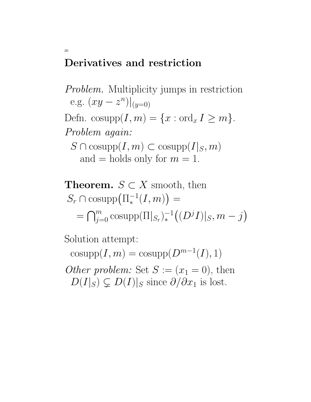#### Derivatives and restriction

20

Problem. Multiplicity jumps in restriction e.g.  $(xy - z^n)|_{(y=0)}$ Defn. cosupp $(I, m) = \{x : \text{ord}_x I \ge m\}.$ Problem again:  $S \cap \text{cosupp}(I, m) \subset \text{cosupp}(I|_S, m)$ and  $=$  holds only for  $m = 1$ .

**Theorem.** 
$$
S \subset X
$$
 smooth, then  
\n $S_r \cap \text{cosupp}(\Pi_*^{-1}(I, m)) =$   
\n $= \bigcap_{j=0}^m \text{cosupp}(\Pi|_{S_r})_*^{-1}((D^jI)|_S, m - j)$ 

Solution attempt:

 $\mathrm{cosupp}(I, m) = \mathrm{cosupp}(D^{m-1}(I), 1)$ Other problem: Set  $S := (x_1 = 0)$ , then  $D(I|_S) \subsetneq D(I)|_S$  since  $\partial/\partial x_1$  is lost.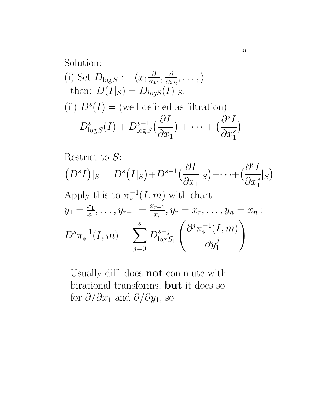#### Solution: (i) Set  $D_{\log S} := \langle x_1 \frac{\partial}{\partial x}$  $\frac{\partial}{\partial x_1}, \frac{\partial}{\partial x}$  $\frac{\partial}{\partial x_2},\ldots,\rangle$ then:  $D(I|_S) = D_{logS}(I)|_S$ . (ii)  $D^{s}(I) =$  (well defined as filtration)  $= D^s_{\rm lc}$  $\frac{s}{\log S}(I) + D_{\log S}^{s-1}$  $\frac{s-1}{\log S} \Bigl( \frac{\partial I}{\partial x} \Bigr)$  $\partial x_1$  $+\cdots+\left(\frac{\partial^s I}{\partial x^s}\right)$  $\overline{\partial} x_1^s$ 1  $\big)$

Restrict to *S*:  
\n
$$
(D^s I)|_S = D^s (I|_S) + D^{s-1} \left(\frac{\partial I}{\partial x_1}|_S\right) + \dots + \left(\frac{\partial^s I}{\partial x_1^s}|_S\right)
$$
\nApply this to  $\pi_*^{-1}(I, m)$  with chart  
\n
$$
y_1 = \frac{x_1}{x_r}, \dots, y_{r-1} = \frac{x_{r-1}}{x_r}, y_r = x_r, \dots, y_n = x_n:
$$
\n
$$
D^s \pi_*^{-1}(I, m) = \sum_{j=0}^s D^{s-j}_{\log S_1} \left(\frac{\partial^j \pi_*^{-1}(I, m)}{\partial y_1^j}\right)
$$

Usually diff. does not commute with birational transforms, but it does so for  $\partial/\partial x_1$  and  $\partial/\partial y_1$ , so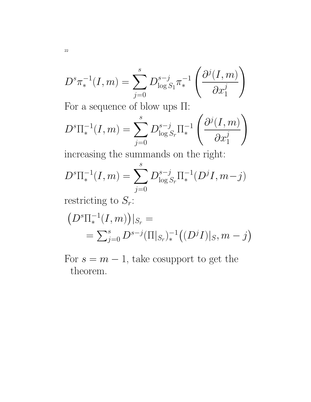$$
D^{s}\pi_{*}^{-1}(I,m) = \sum_{j=0}^{s} D_{\log S_{1}}^{s-j}\pi_{*}^{-1}\left(\frac{\partial^{j}(I,m)}{\partial x_{1}^{j}}\right)
$$

For a sequence of blow ups Π:

$$
D^{s}\Pi_{*}^{-1}(I,m) = \sum_{j=0}^{s} D_{\log S_r}^{s-j} \Pi_{*}^{-1} \left( \frac{\partial^{j}(I,m)}{\partial x_1^{j}} \right)
$$

increasing the summands on the right:

$$
D^{s} \Pi_{*}^{-1}(I, m) = \sum_{j=0}^{s} D_{\log S_r}^{s-j} \Pi_{*}^{-1}(D^{j} I, m-j)
$$

restricting to  $S_r$ :

$$
(D^{s}\Pi_{*}^{-1}(I,m))|_{S_r} =
$$
  
=  $\sum_{j=0}^{s} D^{s-j}(\Pi|_{S_r})_{*}^{-1}((D^{j}I)|_{S_r}, m-j)$ 

For  $s = m - 1$ , take cosupport to get the theorem.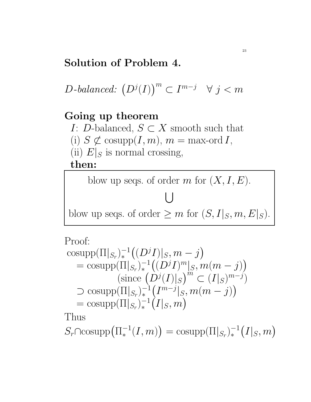## Solution of Problem 4.

D-balanced:  $(D^{j}(I))^{m} \subset I^{m-j} \quad \forall j < m$ 

#### Going up theorem

I: D-balanced,  $S \subset X$  smooth such that

- (i)  $S \not\subset \text{cosupp}(I, m), m = \text{max-ord } I,$
- (ii)  $E|_S$  is normal crossing,

then:

blow up seqs. of order  $m$  for  $(X, I, E)$ .

 $\bigcup$ blow up seqs. of order  $\geq m$  for  $(S, I|_S, m, E|_S)$ .

Proof:

$$
\begin{aligned}\n&\text{cosupp}(\Pi|_{S_r})_*^{-1}((D^jI)|_S, m-j) \\
&= \text{cosupp}(\Pi|_{S_r})_*^{-1}((D^jI)^m|_S, m(m-j)) \\
&\text{(since } (D^j(I)|_S)^m \subset (I|_S)^{m-j} \\
&\sup(\Pi|_{S_r})_*^{-1}(I^{m-j}|_S, m(m-j)) \\
&= \text{cosupp}(\Pi|_{S_r})_*^{-1}(I|_S, m)\n\end{aligned}
$$

Thus

 $S_r \cap \mathrm{cosupp}(\Pi_*^{-1})$  $\binom{-1}{*}(I,m) = \text{cosupp}(\Pi|_{S_r})_*^{-1}$  ${}^{-1}_*(I|_S,m)$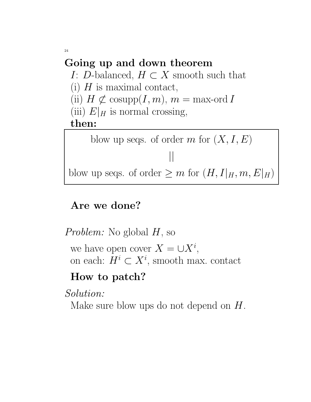# Going up and down theorem

I: D-balanced,  $H \subset X$  smooth such that

(i)  $H$  is maximal contact,

(ii)  $H \not\subset \text{cosupp}(I, m), m = \text{max-ord } I$ 

(iii)  $E|_H$  is normal crossing,

then:

blow up seqs. of order m for  $(X, I, E)$ || blow up seqs. of order  $\geq m$  for  $(H, I|_H, m, E|_H)$ 

# Are we done?

Problem: No global H, so we have open cover  $X = \cup X^i$ , on each:  $H^i \subset X^i$ , smooth max. contact

# How to patch?

Solution:

Make sure blow ups do not depend on  $H$ .

24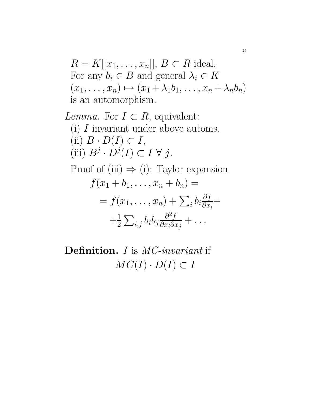$$
R = K[[x_1, \dots, x_n]], B \subset R \text{ ideal.}
$$
  
For any  $b_i \in B$  and general  $\lambda_i \in K$   
 $(x_1, \dots, x_n) \mapsto (x_1 + \lambda_1 b_1, \dots, x_n + \lambda_n b_n)$   
is an automorphism.

*Lemma.* For  $I \subset R$ , equivalent: (i)  $\boldsymbol{I}$  invariant under above automs. (ii)  $B \cdot D(I) \subset I$ , (iii)  $B^j \cdot D^j(I) \subset I \ \forall \ j.$ Proof of (iii)  $\Rightarrow$  (i): Taylor expansion  $f(x_1 + b_1, \ldots, x_n + b_n) =$  $=f(x_1,\ldots,x_n)+\sum_ib_i\frac{\partial f}{\partial x_i}$  $\frac{\partial J}{\partial x_i} +$  $+\frac{1}{2}$  $\frac{1}{2}\sum_{i,j}b_ib_j\frac{\partial^2 f}{\partial x_i\partial x_j}$  $\frac{\partial^2 J}{\partial x_i \partial x_j} + \ldots$ 

Definition. *I* is *MC-invariant* if  $MC(I) \cdot D(I) \subset I$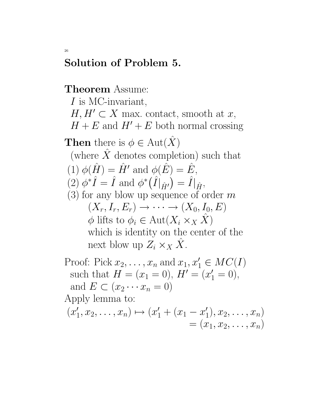#### Solution of Problem 5.

#### Theorem Assume:

 $I$  is MC-invariant,  $H, H' \subset X$  max. contact, smooth at x,  $H + E$  and  $H' + E$  both normal crossing **Then** there is  $\phi \in \text{Aut}(\hat{X})$ (where  $\hat{X}$  denotes completion) such that (1)  $\phi(\hat{H}) = \hat{H}'$  and  $\phi(\hat{E}) = \hat{E}$ ,  $(2) \phi^* \hat{I} = \hat{I}$  and  $\phi^* (\hat{I}|_{\hat{H'}}) = \hat{I}|_{\hat{H}},$  $(3)$  for any blow up sequence of order m  $(X_r, I_r, E_r) \rightarrow \cdots \rightarrow (X_0, I_0, E)$  $\phi$  lifts to  $\phi_i \in \text{Aut}(X_i \times_X \hat{X})$ which is identity on the center of the next blow up  $Z_i \times_X \overline{X}$ .

Proof: Pick  $x_2, \ldots, x_n$  and  $x_1, x'_1 \in MC(I)$ such that  $H = (x_1 = 0), H' = (x'_1 = 0),$ and  $E \subset (x_2 \cdots x_n = 0)$ Apply lemma to:  $(x_1)$  $(x'_1, x_2, \ldots, x_n) \mapsto (x'_1 + (x_1 - x'_1))$  $x_1', x_2, \ldots, x_n)$  $=(x_1, x_2, \ldots, x_n)$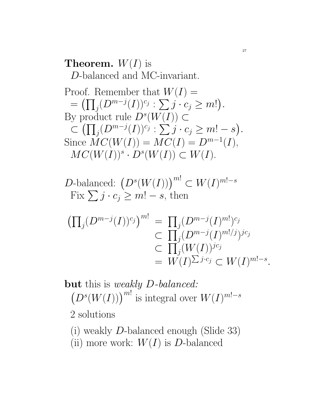### **Theorem.**  $W(I)$  is D-balanced and MC-invariant.

Proof. Remember that 
$$
W(I) =
$$
  
\n
$$
= (\prod_j (D^{m-j}(I))^{c_j} : \sum_j j \cdot c_j \ge m!).
$$
\nBy product rule  $D^s(W(I)) \subset$   
\n
$$
\subset (\prod_j (D^{m-j}(I))^{c_j} : \sum_j j \cdot c_j \ge m! - s).
$$
\nSince  $MC(W(I)) = MC(I) = D^{m-1}(I),$   
\n $MC(W(I))^s \cdot D^s(W(I)) \subset W(I).$ 

D-balanced: 
$$
(D^s(W(I)))^{m!} \subset W(I)^{m!-s}
$$
  
Fix  $\sum j \cdot c_j \ge m! - s$ , then

$$
\begin{aligned} \left(\prod_{j} (D^{m-j}(I))^{c_j}\right)^{m!} &= \prod_{j} (D^{m-j}(I)^{m!)^{c_j}} \\ &\subset \prod_{j} (D^{m-j}(I)^{m!/j})^{jc_j} \\ &\subset \prod_{j} (W(I))^{jc_j} \\ &= W(I)^{\sum j \cdot c_j} \subset W(I)^{m!-s} .\end{aligned}
$$

but this is weakly D-balanced:  $(D<sup>s</sup>(W(I)))$ <sup>m!</sup> is integral over  $W(I)^{m!-s}$ 2 solutions

(i) weakly D-balanced enough (Slide 33)

(ii) more work:  $W(I)$  is D-balanced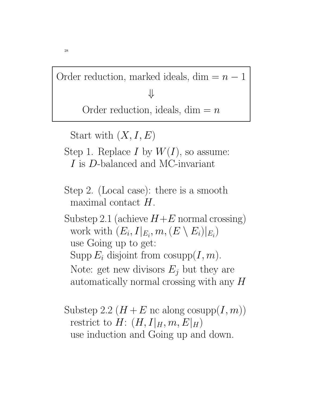Order reduction, marked ideals, dim  $=n-1$ ⇓

Order reduction, ideals, dim  $=n$ 

Start with  $(X, I, E)$ 

- Step 1. Replace I by  $W(I)$ , so assume: I is D-balanced and MC-invariant
- Step 2. (Local case): there is a smooth maximal contact H.
- Substep 2.1 (achieve  $H+E$  normal crossing) work with  $(E_i, I|_{E_i}, m, (E \setminus E_i)|_{E_i})$ use Going up to get: Supp  $E_i$  disjoint from cosupp $(I, m)$ . Note: get new divisors  $E_i$  but they are automatically normal crossing with any H
- Substep 2.2  $(H + E \text{ nc along cosupp}(I, m))$ restrict to  $H: (H, I|_H, m, E|_H)$ use induction and Going up and down.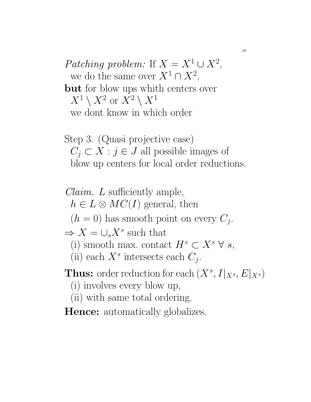Patching problem: If  $X = X^1 \cup X^2$ , we do the same over  $X^1 \cap X^2$ , but for blow ups whith centers over  $X^1\setminus X^2$  or  $X^2\setminus X^1$ we dont know in which order

Step 3. (Quasi projective case)  $C_j \subset X : j \in J$  all possible images of blow up centers for local order reductions.

Claim. L sufficiently ample,  $h \in L \otimes MC(I)$  general, then  $(h = 0)$  has smooth point on every  $C_j$ .  $\Rightarrow X = \bigcup_s X^s$  such that (i) smooth max. contact  $H^s \subset X^s \ \forall s$ , (ii) each  $X^s$  intersects each  $C_j$ . **Thus:** order reduction for each  $(X^s, I|_{X^s}, E|_{X^s})$ 

- (i) involves every blow up,
- (ii) with same total ordering.
- **Hence:** automatically globalizes.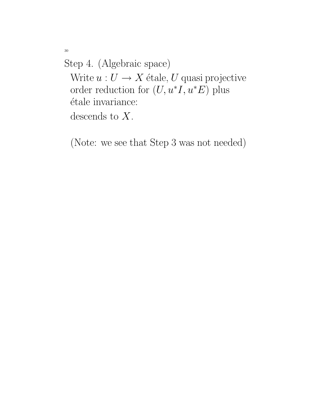Step 4. (Algebraic space) Write  $u: U \to X$  étale, U quasi projective order reduction for  $(U, u^*I, u^*E)$  plus étale invariance: descends to  $X$ .

(Note: we see that Step 3 was not needed)

30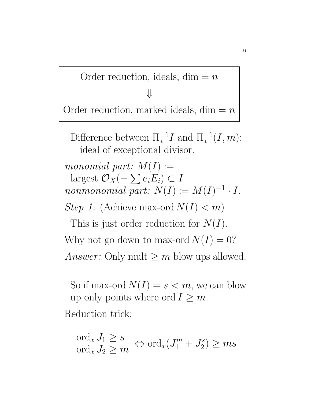Order reduction, ideals, dim  $=n$ ⇓ Order reduction, marked ideals,  $\dim = n$ 

Difference between  $\Pi_*^{-1}$  $\binom{-1}{*}I$  and  $\Pi_*^{-1}$  ${}^{-1}_*(I,m)$ : ideal of exceptional divisor. monomial part:  $M(I) :=$ largest  $\mathcal{O}_X(-\sum e_iE_i)\subset I$ nonmonomial part:  $N(I) := M(I)^{-1} \cdot I$ . Step 1. (Achieve max-ord  $N(I) < m$ ) This is just order reduction for  $N(I)$ . Why not go down to max-ord  $N(I) = 0$ ? Answer: Only mult  $\geq m$  blow ups allowed.

So if max-ord  $N(I) = s < m$ , we can blow up only points where ord  $I \geq m$ . Reduction trick:

$$
\operatorname{ord}_x J_1 \ge s \operatorname{ord}_x J_2 \ge m \Leftrightarrow \operatorname{ord}_x (J_1^m + J_2^s) \ge ms
$$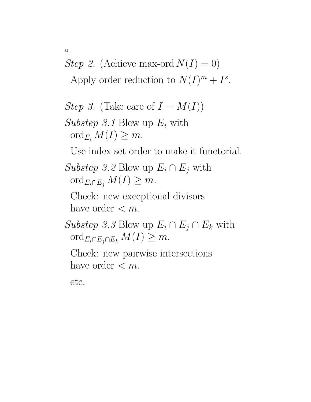*Step 2.* (Achieve max-ord  $N(I) = 0$ )

Apply order reduction to  $N(I)^m + I^s$ .

*Step 3.* (Take care of  $I = M(I)$ )

Substep 3.1 Blow up  $E_i$  with  $\operatorname{ord}_{E_i} M(I) \geq m$ .

Use index set order to make it functorial.

Substep 3.2 Blow up  $E_i \cap E_j$  with ord<sub> $E_i \cap E_j$ </sub>  $M(I) \geq m$ .

Check: new exceptional divisors have order  $\lt m$ .

Substep 3.3 Blow up  $E_i \cap E_j \cap E_k$  with ord<sub>Ei∩Ej∩Ek</sub>  $M(I) \geq m$ .

Check: new pairwise intersections have order  $\lt m$ .

etc.